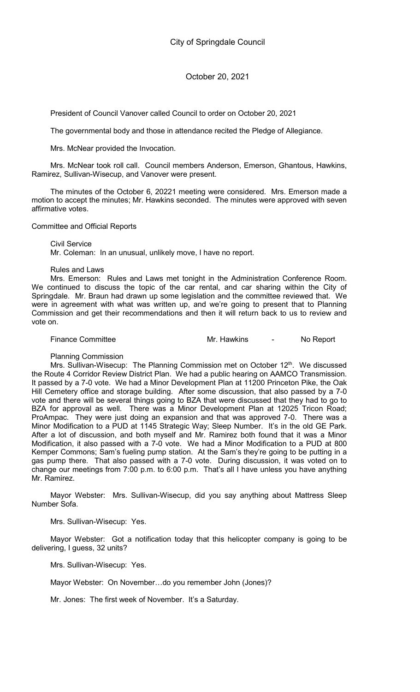President of Council Vanover called Council to order on October 20, 2021

The governmental body and those in attendance recited the Pledge of Allegiance.

Mrs. McNear provided the Invocation.

Mrs. McNear took roll call. Council members Anderson, Emerson, Ghantous, Hawkins, Ramirez, Sullivan-Wisecup, and Vanover were present.

The minutes of the October 6, 20221 meeting were considered. Mrs. Emerson made a motion to accept the minutes; Mr. Hawkins seconded. The minutes were approved with seven affirmative votes.

Committee and Official Reports

Civil Service Mr. Coleman: In an unusual, unlikely move, I have no report.

### Rules and Laws

Mrs. Emerson: Rules and Laws met tonight in the Administration Conference Room. We continued to discuss the topic of the car rental, and car sharing within the City of Springdale. Mr. Braun had drawn up some legislation and the committee reviewed that. We were in agreement with what was written up, and we're going to present that to Planning Commission and get their recommendations and then it will return back to us to review and vote on.

Finance Committee **Mr. Hawkins** Allemance Committee Music Mr. Hawkins Allemance Committee

Planning Commission

Mrs. Sullivan-Wisecup: The Planning Commission met on October 12<sup>th</sup>. We discussed the Route 4 Corridor Review District Plan. We had a public hearing on AAMCO Transmission. It passed by a 7-0 vote. We had a Minor Development Plan at 11200 Princeton Pike, the Oak Hill Cemetery office and storage building. After some discussion, that also passed by a 7-0 vote and there will be several things going to BZA that were discussed that they had to go to BZA for approval as well. There was a Minor Development Plan at 12025 Tricon Road; ProAmpac. They were just doing an expansion and that was approved 7-0. There was a Minor Modification to a PUD at 1145 Strategic Way; Sleep Number. It's in the old GE Park. After a lot of discussion, and both myself and Mr. Ramirez both found that it was a Minor Modification, it also passed with a 7-0 vote. We had a Minor Modification to a PUD at 800 Kemper Commons; Sam's fueling pump station. At the Sam's they're going to be putting in a gas pump there. That also passed with a 7-0 vote. During discussion, it was voted on to change our meetings from 7:00 p.m. to 6:00 p.m. That's all I have unless you have anything Mr. Ramirez.

Mayor Webster: Mrs. Sullivan-Wisecup, did you say anything about Mattress Sleep Number Sofa.

Mrs. Sullivan-Wisecup: Yes.

Mayor Webster: Got a notification today that this helicopter company is going to be delivering, I guess, 32 units?

Mrs. Sullivan-Wisecup: Yes.

Mayor Webster: On November…do you remember John (Jones)?

Mr. Jones: The first week of November. It's a Saturday.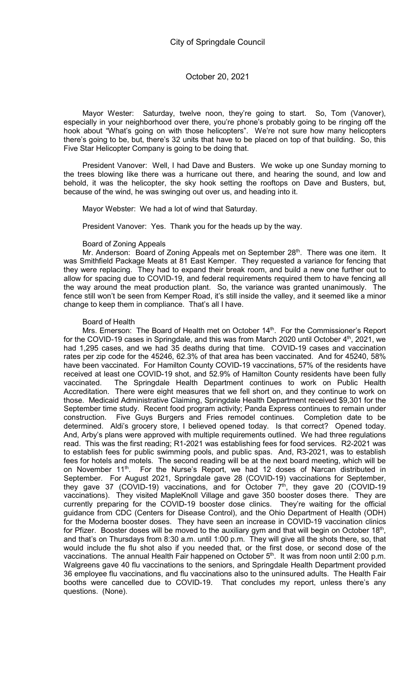Mayor Wester: Saturday, twelve noon, they're going to start. So, Tom (Vanover), especially in your neighborhood over there, you're phone's probably going to be ringing off the hook about "What's going on with those helicopters". We're not sure how many helicopters there's going to be, but, there's 32 units that have to be placed on top of that building. So, this Five Star Helicopter Company is going to be doing that.

President Vanover: Well, I had Dave and Busters. We woke up one Sunday morning to the trees blowing like there was a hurricane out there, and hearing the sound, and low and behold, it was the helicopter, the sky hook setting the rooftops on Dave and Busters, but, because of the wind, he was swinging out over us, and heading into it.

Mayor Webster: We had a lot of wind that Saturday.

President Vanover: Yes. Thank you for the heads up by the way.

### Board of Zoning Appeals

Mr. Anderson: Board of Zoning Appeals met on September 28<sup>th</sup>. There was one item. It was Smithfield Package Meats at 81 East Kemper. They requested a variance for fencing that they were replacing. They had to expand their break room, and build a new one further out to allow for spacing due to COVID-19, and federal requirements required them to have fencing all the way around the meat production plant. So, the variance was granted unanimously. The fence still won't be seen from Kemper Road, it's still inside the valley, and it seemed like a minor change to keep them in compliance. That's all I have.

### Board of Health

Mrs. Emerson: The Board of Health met on October 14<sup>th</sup>. For the Commissioner's Report for the COVID-19 cases in Springdale, and this was from March 2020 until October 4<sup>th</sup>, 2021, we had 1,295 cases, and we had 35 deaths during that time. COVID-19 cases and vaccination rates per zip code for the 45246, 62.3% of that area has been vaccinated. And for 45240, 58% have been vaccinated. For Hamilton County COVID-19 vaccinations, 57% of the residents have received at least one COVID-19 shot, and 52.9% of Hamilton County residents have been fully vaccinated. The Springdale Health Department continues to work on Public Health Accreditation. There were eight measures that we fell short on, and they continue to work on those. Medicaid Administrative Claiming, Springdale Health Department received \$9,301 for the September time study. Recent food program activity; Panda Express continues to remain under construction. Five Guys Burgers and Fries remodel continues. Completion date to be determined. Aldi's grocery store, I believed opened today. Is that correct? Opened today. And, Arby's plans were approved with multiple requirements outlined. We had three regulations read. This was the first reading; R1-2021 was establishing fees for food services. R2-2021 was to establish fees for public swimming pools, and public spas. And, R3-2021, was to establish fees for hotels and motels. The second reading will be at the next board meeting, which will be on November 11<sup>th</sup>. For the Nurse's Report, we had 12 doses of Narcan distributed in September. For August 2021, Springdale gave 28 (COVID-19) vaccinations for September, they gave 37 (COVID-19) vaccinations, and for October  $7<sup>th</sup>$ , they gave 20 (COVID-19 vaccinations). They visited MapleKnoll Village and gave 350 booster doses there. They are currently preparing for the COVID-19 booster dose clinics. They're waiting for the official guidance from CDC (Centers for Disease Control), and the Ohio Department of Health (ODH) for the Moderna booster doses. They have seen an increase in COVID-19 vaccination clinics for Pfizer. Booster doses will be moved to the auxiliary gym and that will begin on October 18<sup>th</sup>, and that's on Thursdays from 8:30 a.m. until 1:00 p.m. They will give all the shots there, so, that would include the flu shot also if you needed that, or the first dose, or second dose of the vaccinations. The annual Health Fair happened on October 5<sup>th</sup>. It was from noon until 2:00 p.m. Walgreens gave 40 flu vaccinations to the seniors, and Springdale Health Department provided 36 employee flu vaccinations, and flu vaccinations also to the uninsured adults. The Health Fair booths were cancelled due to COVID-19. That concludes my report, unless there's any questions. (None).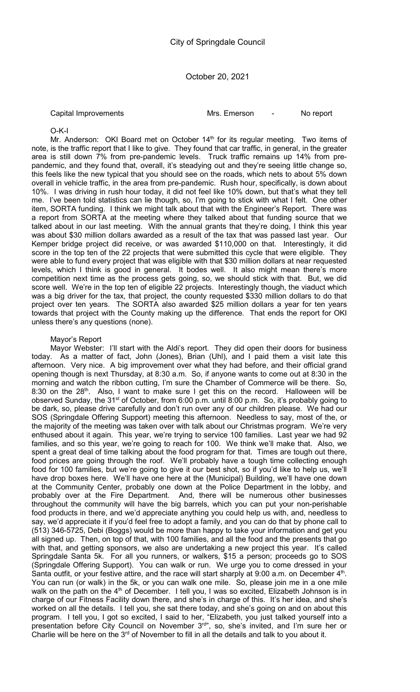Capital Improvements Mrs. Emerson - No report

## O-K-I

Mr. Anderson: OKI Board met on October 14<sup>th</sup> for its regular meeting. Two items of note, is the traffic report that I like to give. They found that car traffic, in general, in the greater area is still down 7% from pre-pandemic levels. Truck traffic remains up 14% from prepandemic, and they found that, overall, it's steadying out and they're seeing little change so, this feels like the new typical that you should see on the roads, which nets to about 5% down overall in vehicle traffic, in the area from pre-pandemic. Rush hour, specifically, is down about 10%. I was driving in rush hour today, it did not feel like 10% down, but that's what they tell me. I've been told statistics can lie though, so, I'm going to stick with what I felt. One other item, SORTA funding. I think we might talk about that with the Engineer's Report. There was a report from SORTA at the meeting where they talked about that funding source that we talked about in our last meeting. With the annual grants that they're doing, I think this year was about \$30 million dollars awarded as a result of the tax that was passed last year. Our Kemper bridge project did receive, or was awarded \$110,000 on that. Interestingly, it did score in the top ten of the 22 projects that were submitted this cycle that were eligible. They were able to fund every project that was eligible with that \$30 million dollars at near requested levels, which I think is good in general. It bodes well. It also might mean there's more competition next time as the process gets going, so, we should stick with that. But, we did score well. We're in the top ten of eligible 22 projects. Interestingly though, the viaduct which was a big driver for the tax, that project, the county requested \$330 million dollars to do that project over ten years. The SORTA also awarded \$25 million dollars a year for ten years towards that project with the County making up the difference. That ends the report for OKI unless there's any questions (none).

## Mayor's Report

Mayor Webster: I'll start with the Aldi's report. They did open their doors for business today. As a matter of fact, John (Jones), Brian (Uhl), and I paid them a visit late this afternoon. Very nice. A big improvement over what they had before, and their official grand opening though is next Thursday, at 8:30 a.m. So, if anyone wants to come out at 8:30 in the morning and watch the ribbon cutting, I'm sure the Chamber of Commerce will be there. So, 8:30 on the 28<sup>th</sup>. Also, I want to make sure I get this on the record. Halloween will be observed Sunday, the 31<sup>st</sup> of October, from 6:00 p.m. until 8:00 p.m. So, it's probably going to be dark, so, please drive carefully and don't run over any of our children please. We had our SOS (Springdale Offering Support) meeting this afternoon. Needless to say, most of the, or the majority of the meeting was taken over with talk about our Christmas program. We're very enthused about it again. This year, we're trying to service 100 families. Last year we had 92 families, and so this year, we're going to reach for 100. We think we'll make that. Also, we spent a great deal of time talking about the food program for that. Times are tough out there, food prices are going through the roof. We'll probably have a tough time collecting enough food for 100 families, but we're going to give it our best shot, so if you'd like to help us, we'll have drop boxes here. We'll have one here at the (Municipal) Building, we'll have one down at the Community Center, probably one down at the Police Department in the lobby, and probably over at the Fire Department. And, there will be numerous other businesses throughout the community will have the big barrels, which you can put your non-perishable food products in there, and we'd appreciate anything you could help us with, and, needless to say, we'd appreciate it if you'd feel free to adopt a family, and you can do that by phone call to (513) 346-5725, Debi (Boggs) would be more than happy to take your information and get you all signed up. Then, on top of that, with 100 families, and all the food and the presents that go with that, and getting sponsors, we also are undertaking a new project this year. It's called Springdale Santa 5k. For all you runners, or walkers, \$15 a person; proceeds go to SOS (Springdale Offering Support). You can walk or run. We urge you to come dressed in your Santa outfit, or your festive attire, and the race will start sharply at  $9:00$  a.m. on December  $4<sup>th</sup>$ . You can run (or walk) in the 5k, or you can walk one mile. So, please join me in a one mile walk on the path on the 4<sup>th</sup> of December. I tell you, I was so excited, Elizabeth Johnson is in charge of our Fitness Facility down there, and she's in charge of this. It's her idea, and she's worked on all the details. I tell you, she sat there today, and she's going on and on about this program. I tell you, I got so excited, I said to her, "Elizabeth, you just talked yourself into a presentation before City Council on November 3<sup>rd"</sup>, so, she's invited, and I'm sure her or Charlie will be here on the  $3<sup>rd</sup>$  of November to fill in all the details and talk to you about it.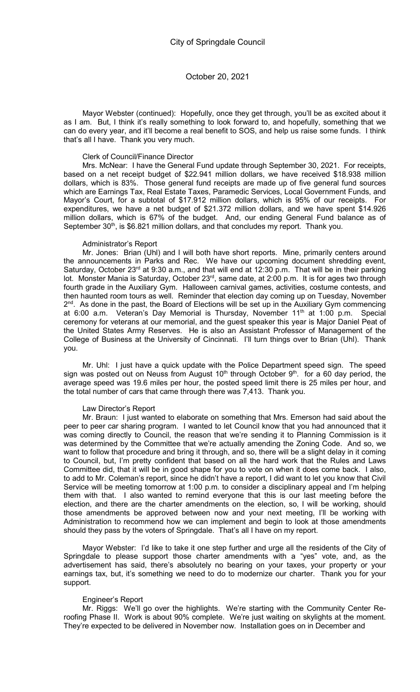Mayor Webster (continued): Hopefully, once they get through, you'll be as excited about it as I am. But, I think it's really something to look forward to, and hopefully, something that we can do every year, and it'll become a real benefit to SOS, and help us raise some funds. I think that's all I have. Thank you very much.

#### Clerk of Council/Finance Director

Mrs. McNear: I have the General Fund update through September 30, 2021. For receipts, based on a net receipt budget of \$22.941 million dollars, we have received \$18.938 million dollars, which is 83%. Those general fund receipts are made up of five general fund sources which are Earnings Tax, Real Estate Taxes, Paramedic Services, Local Government Funds, and Mayor's Court, for a subtotal of \$17.912 million dollars, which is 95% of our receipts. For expenditures, we have a net budget of \$21.372 million dollars, and we have spent \$14.926 million dollars, which is 67% of the budget. And, our ending General Fund balance as of September 30<sup>th</sup>, is \$6.821 million dollars, and that concludes my report. Thank you.

#### Administrator's Report

Mr. Jones: Brian (Uhl) and I will both have short reports. Mine, primarily centers around the announcements in Parks and Rec. We have our upcoming document shredding event, Saturday, October 23<sup>rd</sup> at 9:30 a.m., and that will end at 12:30 p.m. That will be in their parking lot. Monster Mania is Saturday, October 23<sup>rd</sup>, same date, at 2:00 p.m. It is for ages two through fourth grade in the Auxiliary Gym. Halloween carnival games, activities, costume contests, and then haunted room tours as well. Reminder that election day coming up on Tuesday, November 2<sup>nd</sup>. As done in the past, the Board of Elections will be set up in the Auxiliary Gym commencing at 6:00 a.m. Veteran's Day Memorial is Thursday, November 11<sup>th</sup> at 1:00 p.m. Special ceremony for veterans at our memorial, and the guest speaker this year is Major Daniel Peat of the United States Army Reserves. He is also an Assistant Professor of Management of the College of Business at the University of Cincinnati. I'll turn things over to Brian (Uhl). Thank you.

Mr. Uhl: I just have a quick update with the Police Department speed sign. The speed sign was posted out on Neuss from August  $10<sup>th</sup>$  through October  $9<sup>th</sup>$ . for a 60 day period, the average speed was 19.6 miles per hour, the posted speed limit there is 25 miles per hour, and the total number of cars that came through there was 7,413. Thank you.

#### Law Director's Report

Mr. Braun: I just wanted to elaborate on something that Mrs. Emerson had said about the peer to peer car sharing program. I wanted to let Council know that you had announced that it was coming directly to Council, the reason that we're sending it to Planning Commission is it was determined by the Committee that we're actually amending the Zoning Code. And so, we want to follow that procedure and bring it through, and so, there will be a slight delay in it coming to Council, but, I'm pretty confident that based on all the hard work that the Rules and Laws Committee did, that it will be in good shape for you to vote on when it does come back. I also, to add to Mr. Coleman's report, since he didn't have a report, I did want to let you know that Civil Service will be meeting tomorrow at 1:00 p.m. to consider a disciplinary appeal and I'm helping them with that. I also wanted to remind everyone that this is our last meeting before the election, and there are the charter amendments on the election, so, I will be working, should those amendments be approved between now and your next meeting, I'll be working with Administration to recommend how we can implement and begin to look at those amendments should they pass by the voters of Springdale. That's all I have on my report.

Mayor Webster: I'd like to take it one step further and urge all the residents of the City of Springdale to please support those charter amendments with a "yes" vote, and, as the advertisement has said, there's absolutely no bearing on your taxes, your property or your earnings tax, but, it's something we need to do to modernize our charter. Thank you for your support.

#### Engineer's Report

Mr. Riggs: We'll go over the highlights. We're starting with the Community Center Reroofing Phase II. Work is about 90% complete. We're just waiting on skylights at the moment. They're expected to be delivered in November now. Installation goes on in December and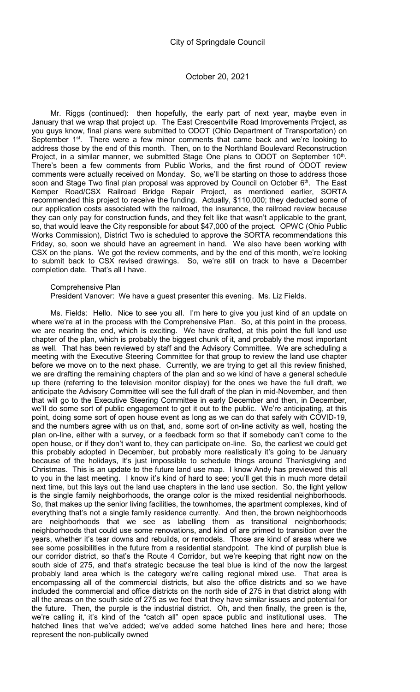Mr. Riggs (continued): then hopefully, the early part of next year, maybe even in January that we wrap that project up. The East Crescentville Road Improvements Project, as you guys know, final plans were submitted to ODOT (Ohio Department of Transportation) on September  $1<sup>st</sup>$ . There were a few minor comments that came back and we're looking to address those by the end of this month. Then, on to the Northland Boulevard Reconstruction Project, in a similar manner, we submitted Stage One plans to ODOT on September  $10<sup>th</sup>$ . There's been a few comments from Public Works, and the first round of ODOT review comments were actually received on Monday. So, we'll be starting on those to address those soon and Stage Two final plan proposal was approved by Council on October 6<sup>th</sup>. The East Kemper Road/CSX Railroad Bridge Repair Project, as mentioned earlier, SORTA recommended this project to receive the funding. Actually, \$110,000; they deducted some of our application costs associated with the railroad, the insurance, the railroad review because they can only pay for construction funds, and they felt like that wasn't applicable to the grant, so, that would leave the City responsible for about \$47,000 of the project. OPWC (Ohio Public Works Commission), District Two is scheduled to approve the SORTA recommendations this Friday, so, soon we should have an agreement in hand. We also have been working with CSX on the plans. We got the review comments, and by the end of this month, we're looking to submit back to CSX revised drawings. So, we're still on track to have a December completion date. That's all I have.

Comprehensive Plan

President Vanover: We have a guest presenter this evening. Ms. Liz Fields.

Ms. Fields: Hello. Nice to see you all. I'm here to give you just kind of an update on where we're at in the process with the Comprehensive Plan. So, at this point in the process, we are nearing the end, which is exciting. We have drafted, at this point the full land use chapter of the plan, which is probably the biggest chunk of it, and probably the most important as well. That has been reviewed by staff and the Advisory Committee. We are scheduling a meeting with the Executive Steering Committee for that group to review the land use chapter before we move on to the next phase. Currently, we are trying to get all this review finished, we are drafting the remaining chapters of the plan and so we kind of have a general schedule up there (referring to the television monitor display) for the ones we have the full draft, we anticipate the Advisory Committee will see the full draft of the plan in mid-November, and then that will go to the Executive Steering Committee in early December and then, in December, we'll do some sort of public engagement to get it out to the public. We're anticipating, at this point, doing some sort of open house event as long as we can do that safely with COVID-19, and the numbers agree with us on that, and, some sort of on-line activity as well, hosting the plan on-line, either with a survey, or a feedback form so that if somebody can't come to the open house, or if they don't want to, they can participate on-line. So, the earliest we could get this probably adopted in December, but probably more realistically it's going to be January because of the holidays, it's just impossible to schedule things around Thanksgiving and Christmas. This is an update to the future land use map. I know Andy has previewed this all to you in the last meeting. I know it's kind of hard to see; you'll get this in much more detail next time, but this lays out the land use chapters in the land use section. So, the light yellow is the single family neighborhoods, the orange color is the mixed residential neighborhoods. So, that makes up the senior living facilities, the townhomes, the apartment complexes, kind of everything that's not a single family residence currently. And then, the brown neighborhoods are neighborhoods that we see as labelling them as transitional neighborhoods; neighborhoods that could use some renovations, and kind of are primed to transition over the years, whether it's tear downs and rebuilds, or remodels. Those are kind of areas where we see some possibilities in the future from a residential standpoint. The kind of purplish blue is our corridor district, so that's the Route 4 Corridor, but we're keeping that right now on the south side of 275, and that's strategic because the teal blue is kind of the now the largest probably land area which is the category we're calling regional mixed use. That area is encompassing all of the commercial districts, but also the office districts and so we have included the commercial and office districts on the north side of 275 in that district along with all the areas on the south side of 275 as we feel that they have similar issues and potential for the future. Then, the purple is the industrial district. Oh, and then finally, the green is the, we're calling it, it's kind of the "catch all" open space public and institutional uses. The hatched lines that we've added; we've added some hatched lines here and here; those represent the non-publically owned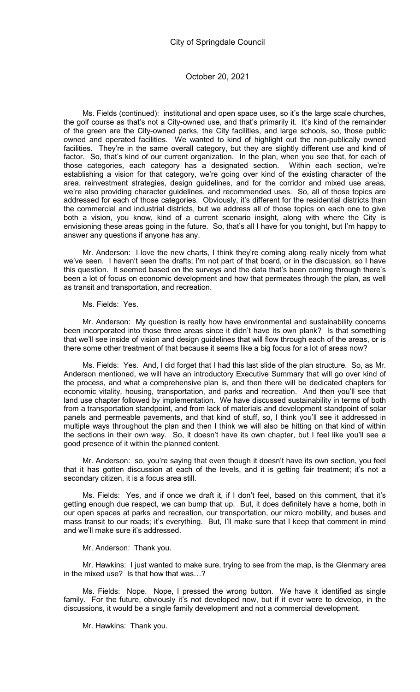Ms. Fields (continued): institutional and open space uses, so it's the large scale churches, the golf course as that's not a City-owned use, and that's primarily it. It's kind of the remainder of the green are the City-owned parks, the City facilities, and large schools, so, those public owned and operated facilities. We wanted to kind of highlight out the non-publically owned facilities. They're in the same overall category, but they are slightly different use and kind of factor. So, that's kind of our current organization. In the plan, when you see that, for each of those categories, each category has a designated section. Within each section, we're establishing a vision for that category, we're going over kind of the existing character of the area, reinvestment strategies, design guidelines, and for the corridor and mixed use areas, we're also providing character guidelines, and recommended uses. So, all of those topics are addressed for each of those categories. Obviously, it's different for the residential districts than the commercial and industrial districts, but we address all of those topics on each one to give both a vision, you know, kind of a current scenario insight, along with where the City is envisioning these areas going in the future. So, that's all I have for you tonight, but I'm happy to answer any questions if anyone has any.

Mr. Anderson: I love the new charts, I think they're coming along really nicely from what we've seen. I haven't seen the drafts; I'm not part of that board, or in the discussion, so I have this question. It seemed based on the surveys and the data that's been coming through there's been a lot of focus on economic development and how that permeates through the plan, as well as transit and transportation, and recreation.

Ms. Fields: Yes.

Mr. Anderson: My question is really how have environmental and sustainability concerns been incorporated into those three areas since it didn't have its own plank? Is that something that we'll see inside of vision and design guidelines that will flow through each of the areas, or is there some other treatment of that because it seems like a big focus for a lot of areas now?

Ms. Fields: Yes. And, I did forget that I had this last slide of the plan structure. So, as Mr. Anderson mentioned, we will have an introductory Executive Summary that will go over kind of the process, and what a comprehensive plan is, and then there will be dedicated chapters for economic vitality, housing, transportation, and parks and recreation. And then you'll see that land use chapter followed by implementation. We have discussed sustainability in terms of both from a transportation standpoint, and from lack of materials and development standpoint of solar panels and permeable pavements, and that kind of stuff, so, I think you'll see it addressed in multiple ways throughout the plan and then I think we will also be hitting on that kind of within the sections in their own way. So, it doesn't have its own chapter, but I feel like you'll see a good presence of it within the planned content.

Mr. Anderson: so, you're saying that even though it doesn't have its own section, you feel that it has gotten discussion at each of the levels, and it is getting fair treatment; it's not a secondary citizen, it is a focus area still.

Ms. Fields: Yes, and if once we draft it, if I don't feel, based on this comment, that it's getting enough due respect, we can bump that up. But, it does definitely have a home, both in our open spaces at parks and recreation, our transportation, our micro mobility, and buses and mass transit to our roads; it's everything. But, I'll make sure that I keep that comment in mind and we'll make sure it's addressed.

Mr. Anderson: Thank you.

Mr. Hawkins: I just wanted to make sure, trying to see from the map, is the Glenmary area in the mixed use? Is that how that was…?

Ms. Fields: Nope. Nope, I pressed the wrong button. We have it identified as single family. For the future, obviously it's not developed now, but if it ever were to develop, in the discussions, it would be a single family development and not a commercial development.

Mr. Hawkins: Thank you.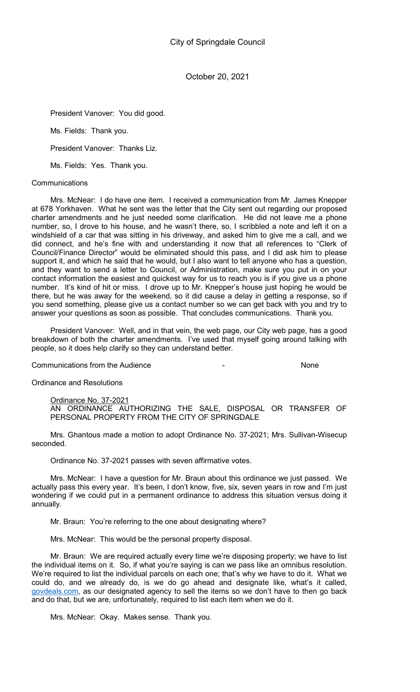President Vanover: You did good.

Ms. Fields: Thank you.

President Vanover: Thanks Liz.

Ms. Fields: Yes. Thank you.

### **Communications**

Mrs. McNear: I do have one item. I received a communication from Mr. James Knepper at 678 Yorkhaven. What he sent was the letter that the City sent out regarding our proposed charter amendments and he just needed some clarification. He did not leave me a phone number, so, I drove to his house, and he wasn't there, so, I scribbled a note and left it on a windshield of a car that was sitting in his driveway, and asked him to give me a call, and we did connect, and he's fine with and understanding it now that all references to "Clerk of Council/Finance Director" would be eliminated should this pass, and I did ask him to please support it, and which he said that he would, but I also want to tell anyone who has a question, and they want to send a letter to Council, or Administration, make sure you put in on your contact information the easiest and quickest way for us to reach you is if you give us a phone number. It's kind of hit or miss. I drove up to Mr. Knepper's house just hoping he would be there, but he was away for the weekend, so it did cause a delay in getting a response, so if you send something, please give us a contact number so we can get back with you and try to answer your questions as soon as possible. That concludes communications. Thank you.

President Vanover: Well, and in that vein, the web page, our City web page, has a good breakdown of both the charter amendments. I've used that myself going around talking with people, so it does help clarify so they can understand better.

Communications from the Audience - None

Ordinance and Resolutions

Ordinance No. 37-2021

AN ORDINANCE AUTHORIZING THE SALE, DISPOSAL OR TRANSFER OF PERSONAL PROPERTY FROM THE CITY OF SPRINGDALE

Mrs. Ghantous made a motion to adopt Ordinance No. 37-2021; Mrs. Sullivan-Wisecup seconded.

Ordinance No. 37-2021 passes with seven affirmative votes.

Mrs. McNear: I have a question for Mr. Braun about this ordinance we just passed. We actually pass this every year. It's been, I don't know, five, six, seven years in row and I'm just wondering if we could put in a permanent ordinance to address this situation versus doing it annually.

Mr. Braun: You're referring to the one about designating where?

Mrs. McNear: This would be the personal property disposal.

Mr. Braun: We are required actually every time we're disposing property; we have to list the individual items on it. So, if what you're saying is can we pass like an omnibus resolution. We're required to list the individual parcels on each one; that's why we have to do it. What we could do, and we already do, is we do go ahead and designate like, what's it called, govdeals.com, as our designated agency to sell the items so we don't have to then go back and do that, but we are, unfortunately, required to list each item when we do it.

Mrs. McNear: Okay. Makes sense. Thank you.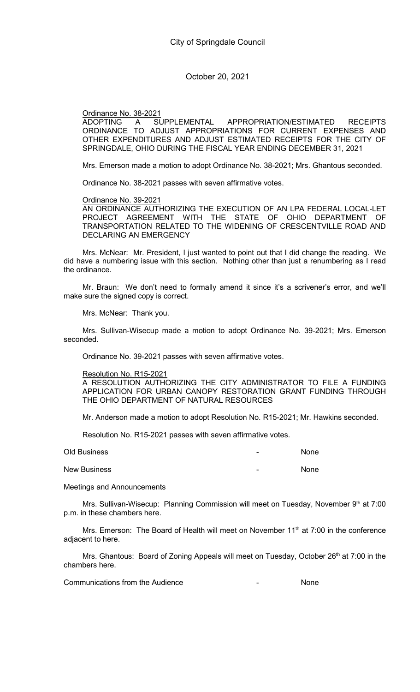Ordinance No. 38-2021

ADOPTING A SUPPLEMENTAL APPROPRIATION/ESTIMATED RECEIPTS ORDINANCE TO ADJUST APPROPRIATIONS FOR CURRENT EXPENSES AND OTHER EXPENDITURES AND ADJUST ESTIMATED RECEIPTS FOR THE CITY OF SPRINGDALE, OHIO DURING THE FISCAL YEAR ENDING DECEMBER 31, 2021

Mrs. Emerson made a motion to adopt Ordinance No. 38-2021; Mrs. Ghantous seconded.

Ordinance No. 38-2021 passes with seven affirmative votes.

Ordinance No. 39-2021

AN ORDINANCE AUTHORIZING THE EXECUTION OF AN LPA FEDERAL LOCAL-LET PROJECT AGREEMENT WITH THE STATE OF OHIO DEPARTMENT OF TRANSPORTATION RELATED TO THE WIDENING OF CRESCENTVILLE ROAD AND DECLARING AN EMERGENCY

Mrs. McNear: Mr. President, I just wanted to point out that I did change the reading. We did have a numbering issue with this section. Nothing other than just a renumbering as I read the ordinance.

Mr. Braun: We don't need to formally amend it since it's a scrivener's error, and we'll make sure the signed copy is correct.

Mrs. McNear: Thank you.

Mrs. Sullivan-Wisecup made a motion to adopt Ordinance No. 39-2021; Mrs. Emerson seconded.

Ordinance No. 39-2021 passes with seven affirmative votes.

Resolution No. R15-2021

A RESOLUTION AUTHORIZING THE CITY ADMINISTRATOR TO FILE A FUNDING APPLICATION FOR URBAN CANOPY RESTORATION GRANT FUNDING THROUGH THE OHIO DEPARTMENT OF NATURAL RESOURCES

Mr. Anderson made a motion to adopt Resolution No. R15-2021; Mr. Hawkins seconded.

Resolution No. R15-2021 passes with seven affirmative votes.

| Old Business        | - | None |
|---------------------|---|------|
| <b>New Business</b> | ۰ | None |

Meetings and Announcements

Mrs. Sullivan-Wisecup: Planning Commission will meet on Tuesday, November 9th at 7:00 p.m. in these chambers here.

Mrs. Emerson: The Board of Health will meet on November 11<sup>th</sup> at 7:00 in the conference adjacent to here.

Mrs. Ghantous: Board of Zoning Appeals will meet on Tuesday, October 26<sup>th</sup> at 7:00 in the chambers here.

Communications from the Audience **Communications** from the Audience